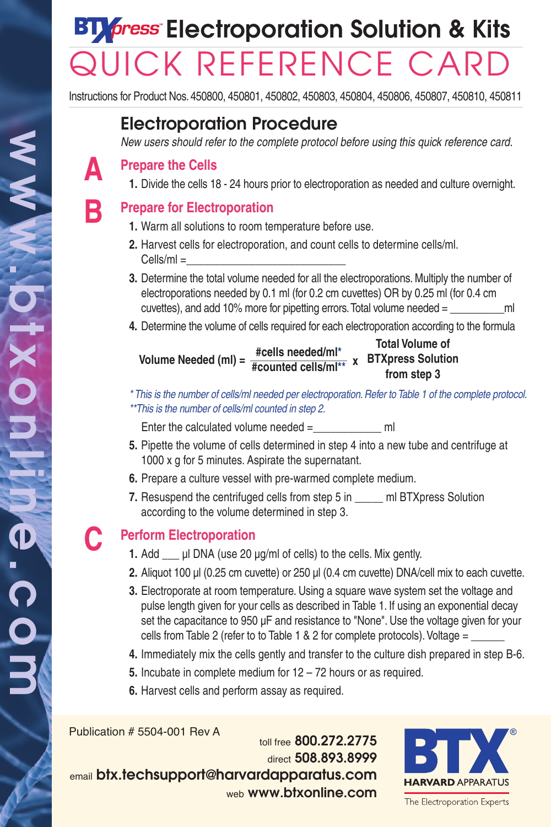# **ET***fress* Electroporation Solution & Kits QUICK REFERENCE CARD

Instructions for Product Nos. 450800, 450801, 450802, 450803, 450804, 450806, 450807, 450810, 450811

## **Electroporation Procedure**

*New users should refer to the complete protocol before using this quick reference card.*

### **Prepare the Cells**

**1.** Divide the cells 18 - 24 hours prior to electroporation as needed and culture overnight.

## **Prepare for Electroporation**

- **1.** Warm all solutions to room temperature before use.
- **2.** Harvest cells for electroporation, and count cells to determine cells/ml.  $Cells/ml =$
- **3.** Determine the total volume needed for all the electroporations. Multiply the number of electroporations needed by 0.1 ml (for 0.2 cm cuvettes) OR by 0.25 ml (for 0.4 cm cuvettes), and add 10% more for pipetting errors. Total volume needed  $=$  ml
- **4.** Determine the volume of cells required for each electroporation according to the formula

**Volume Needed (ml) = Total Volume of BTXpress Solution #counted cells/ml\*\* <sup>x</sup> from step 3 #cells needed/ml\***

*\* This is the number of cells/ml needed per electroporation.Refer to Table 1 of the complete protocol. \*\*This is the number of cells/ml counted in step 2.*

Enter the calculated volume needed  $=$  ml

- **5.** Pipette the volume of cells determined in step 4 into a new tube and centrifuge at 1000 x g for 5 minutes. Aspirate the supernatant.
- **6.** Prepare a culture vessel with pre-warmed complete medium.
- **7.** Resuspend the centrifuged cells from step 5 in and BTXpress Solution according to the volume determined in step 3.

## **C**

**B**

**A**

## **Perform Electroporation**

- **1.** Add \_\_\_ µl DNA (use 20 µg/ml of cells) to the cells. Mix gently.
- **2.** Aliquot 100 µl (0.25 cm cuvette) or 250 µl (0.4 cm cuvette) DNA/cell mix to each cuvette.
- **3.** Electroporate at room temperature. Using a square wave system set the voltage and pulse length given for your cells as described in Table 1. If using an exponential decay set the capacitance to 950 uF and resistance to "None". Use the voltage given for your cells from Table 2 (refer to to Table 1  $\&$  2 for complete protocols). Voltage =
- **4.** Immediately mix the cells gently and transfer to the culture dish prepared in step B-6.
- **5.** Incubate in complete medium for 12 72 hours or as required.
- **6.** Harvest cells and perform assay as required.

Publication # 5504-001 Rev A

toll free **800.272.2775** direct **508.893.8999** email **btx.techsupport@harvardapparatus.com** web **www.btxonline.com**



The Electroporation Experts